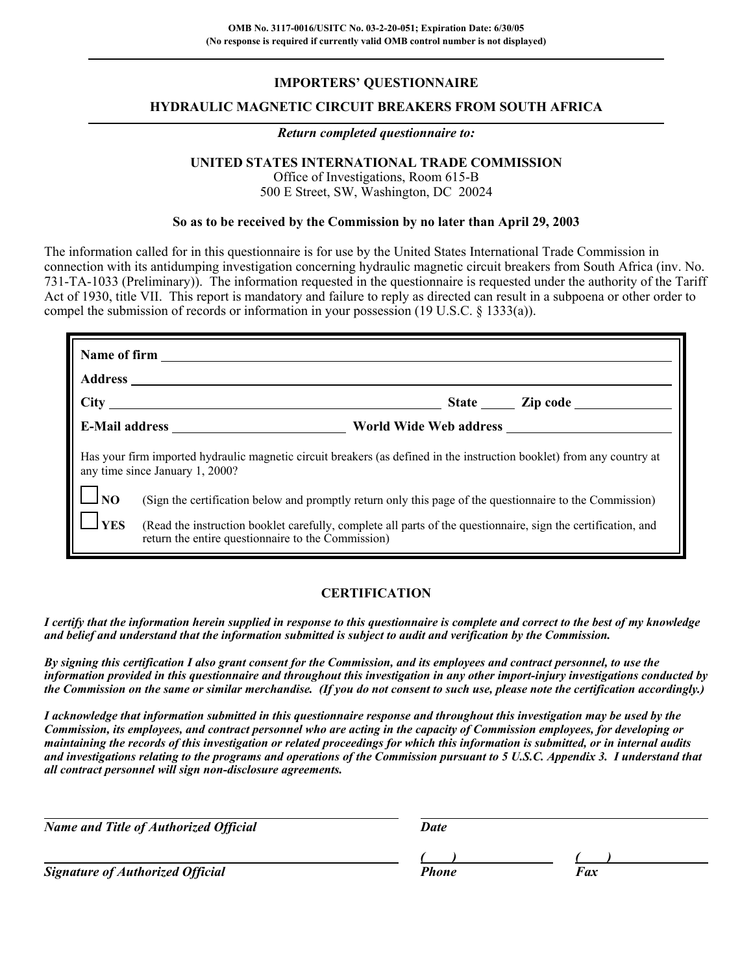## **IMPORTERS' QUESTIONNAIRE**

## **HYDRAULIC MAGNETIC CIRCUIT BREAKERS FROM SOUTH AFRICA**

#### *Return completed questionnaire to:*

## **UNITED STATES INTERNATIONAL TRADE COMMISSION**

Office of Investigations, Room 615-B 500 E Street, SW, Washington, DC 20024

#### **So as to be received by the Commission by no later than April 29, 2003**

The information called for in this questionnaire is for use by the United States International Trade Commission in connection with its antidumping investigation concerning hydraulic magnetic circuit breakers from South Africa (inv. No. 731-TA-1033 (Preliminary)). The information requested in the questionnaire is requested under the authority of the Tariff Act of 1930, title VII. This report is mandatory and failure to reply as directed can result in a subpoena or other order to compel the submission of records or information in your possession (19 U.S.C. § 1333(a)).

| Has your firm imported hydraulic magnetic circuit breakers (as defined in the instruction booklet) from any country at<br>any time since January 1, 2000? |                                                                                                                                                                     |  |  |  |  |
|-----------------------------------------------------------------------------------------------------------------------------------------------------------|---------------------------------------------------------------------------------------------------------------------------------------------------------------------|--|--|--|--|
| $\Box_{\text{NO}}$                                                                                                                                        | (Sign the certification below and promptly return only this page of the questionnaire to the Commission)                                                            |  |  |  |  |
| $\Box$ YES                                                                                                                                                | (Read the instruction booklet carefully, complete all parts of the questionnaire, sign the certification, and<br>return the entire questionnaire to the Commission) |  |  |  |  |

## **CERTIFICATION**

*I certify that the information herein supplied in response to this questionnaire is complete and correct to the best of my knowledge and belief and understand that the information submitted is subject to audit and verification by the Commission.*

*By signing this certification I also grant consent for the Commission, and its employees and contract personnel, to use the information provided in this questionnaire and throughout this investigation in any other import-injury investigations conducted by the Commission on the same or similar merchandise. (If you do not consent to such use, please note the certification accordingly.)*

*I acknowledge that information submitted in this questionnaire response and throughout this investigation may be used by the Commission, its employees, and contract personnel who are acting in the capacity of Commission employees, for developing or maintaining the records of this investigation or related proceedings for which this information is submitted, or in internal audits and investigations relating to the programs and operations of the Commission pursuant to 5 U.S.C. Appendix 3. I understand that all contract personnel will sign non-disclosure agreements.*

| <b>Name and Title of Authorized Official</b> | Date         |     |
|----------------------------------------------|--------------|-----|
|                                              |              |     |
| <b>Signature of Authorized Official</b>      | <b>Phone</b> | Fax |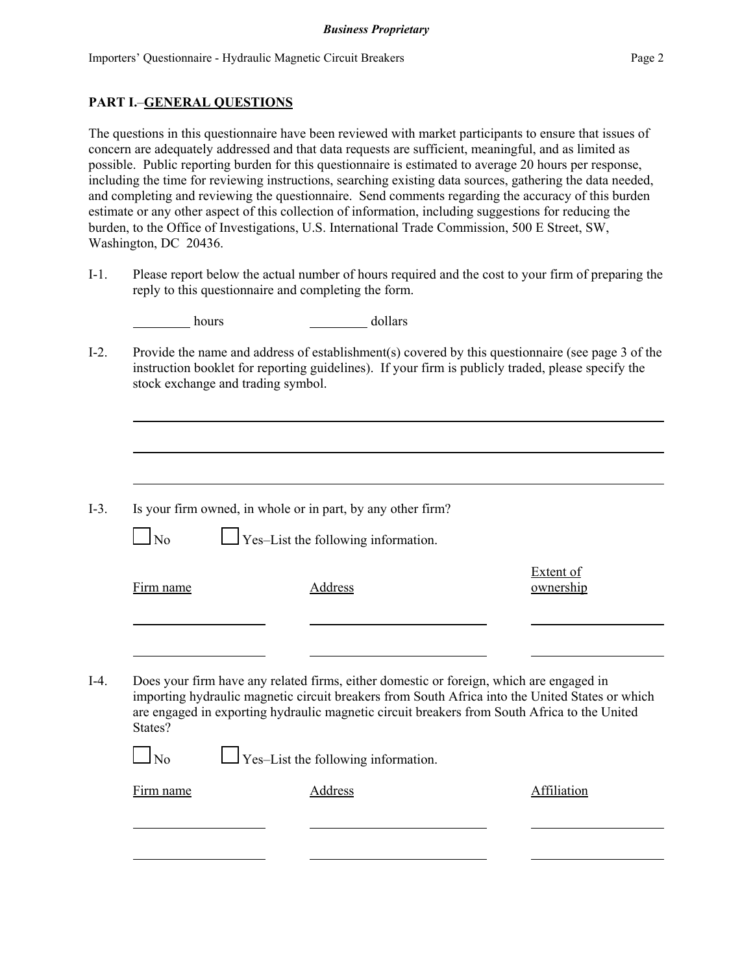## **PART I.**–**GENERAL QUESTIONS**

The questions in this questionnaire have been reviewed with market participants to ensure that issues of concern are adequately addressed and that data requests are sufficient, meaningful, and as limited as possible. Public reporting burden for this questionnaire is estimated to average 20 hours per response, including the time for reviewing instructions, searching existing data sources, gathering the data needed, and completing and reviewing the questionnaire. Send comments regarding the accuracy of this burden estimate or any other aspect of this collection of information, including suggestions for reducing the burden, to the Office of Investigations, U.S. International Trade Commission, 500 E Street, SW, Washington, DC 20436.

I-1. Please report below the actual number of hours required and the cost to your firm of preparing the reply to this questionnaire and completing the form.

|           | hours                              | dollars                                                                                                                                                                                                                                                                                    |                               |
|-----------|------------------------------------|--------------------------------------------------------------------------------------------------------------------------------------------------------------------------------------------------------------------------------------------------------------------------------------------|-------------------------------|
|           | stock exchange and trading symbol. | Provide the name and address of establishment(s) covered by this questionnaire (see page 3 of the<br>instruction booklet for reporting guidelines). If your firm is publicly traded, please specify the                                                                                    |                               |
|           |                                    |                                                                                                                                                                                                                                                                                            |                               |
| $\log$    |                                    | Is your firm owned, in whole or in part, by any other firm?<br>$\Box$ Yes-List the following information.                                                                                                                                                                                  |                               |
| Firm name |                                    | Address                                                                                                                                                                                                                                                                                    | <b>Extent of</b><br>ownership |
|           |                                    |                                                                                                                                                                                                                                                                                            |                               |
| States?   |                                    | Does your firm have any related firms, either domestic or foreign, which are engaged in<br>importing hydraulic magnetic circuit breakers from South Africa into the United States or which<br>are engaged in exporting hydraulic magnetic circuit breakers from South Africa to the United |                               |
| $\log$    |                                    | Yes-List the following information.                                                                                                                                                                                                                                                        |                               |
| Firm name |                                    | <b>Address</b>                                                                                                                                                                                                                                                                             | Affiliation                   |
|           |                                    |                                                                                                                                                                                                                                                                                            |                               |
|           |                                    |                                                                                                                                                                                                                                                                                            |                               |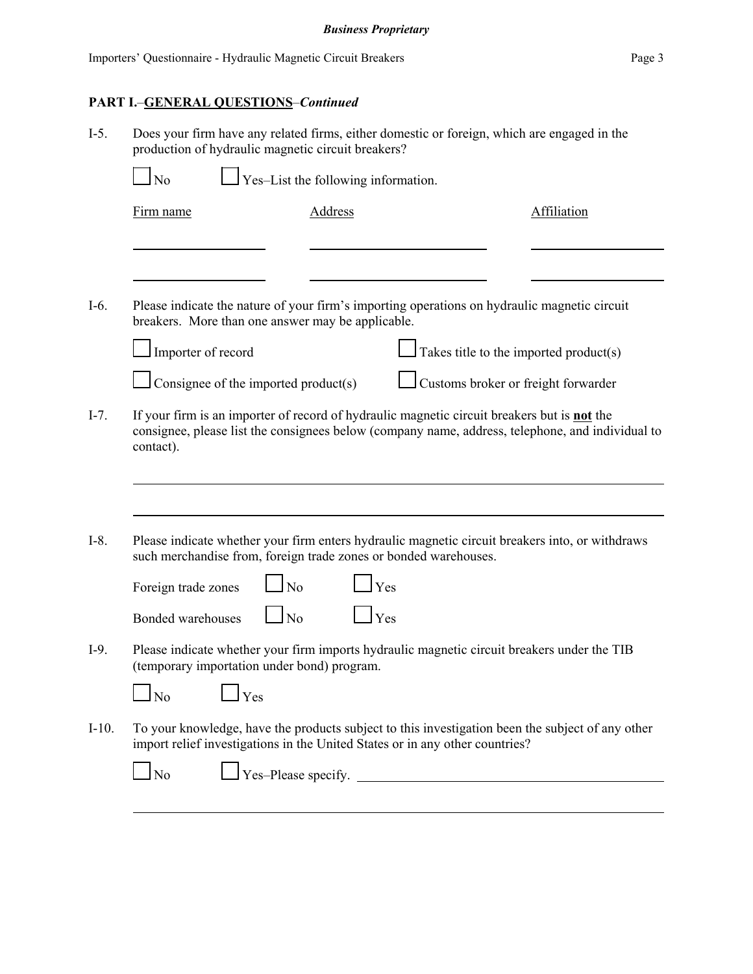# **PART I.**–**GENERAL QUESTIONS**–*Continued*

| $I-5$ . | Does your firm have any related firms, either domestic or foreign, which are engaged in the<br>production of hydraulic magnetic circuit breakers?                                                            |                |                                        |             |  |  |
|---------|--------------------------------------------------------------------------------------------------------------------------------------------------------------------------------------------------------------|----------------|----------------------------------------|-------------|--|--|
|         | Yes-List the following information.<br>N <sub>0</sub>                                                                                                                                                        |                |                                        |             |  |  |
|         | Firm name                                                                                                                                                                                                    | <b>Address</b> |                                        | Affiliation |  |  |
|         |                                                                                                                                                                                                              |                |                                        |             |  |  |
| $I-6.$  | Please indicate the nature of your firm's importing operations on hydraulic magnetic circuit<br>breakers. More than one answer may be applicable.                                                            |                |                                        |             |  |  |
|         | Importer of record                                                                                                                                                                                           |                | Takes title to the imported product(s) |             |  |  |
|         | Consignee of the imported product(s)                                                                                                                                                                         |                | Customs broker or freight forwarder    |             |  |  |
| $I-7.$  | If your firm is an importer of record of hydraulic magnetic circuit breakers but is not the<br>consignee, please list the consignees below (company name, address, telephone, and individual to<br>contact). |                |                                        |             |  |  |
| $I-8.$  | Please indicate whether your firm enters hydraulic magnetic circuit breakers into, or withdraws<br>such merchandise from, foreign trade zones or bonded warehouses.<br>$\overline{N}$<br>Foreign trade zones | Yes            |                                        |             |  |  |
|         | $\overline{N}$<br>Bonded warehouses                                                                                                                                                                          | Yes            |                                        |             |  |  |
| $I-9.$  | Please indicate whether your firm imports hydraulic magnetic circuit breakers under the TIB<br>(temporary importation under bond) program.                                                                   |                |                                        |             |  |  |
|         | No<br>Yes                                                                                                                                                                                                    |                |                                        |             |  |  |
| $I-10.$ | To your knowledge, have the products subject to this investigation been the subject of any other<br>import relief investigations in the United States or in any other countries?                             |                |                                        |             |  |  |
|         | N <sub>o</sub>                                                                                                                                                                                               |                | Yes-Please specify.                    |             |  |  |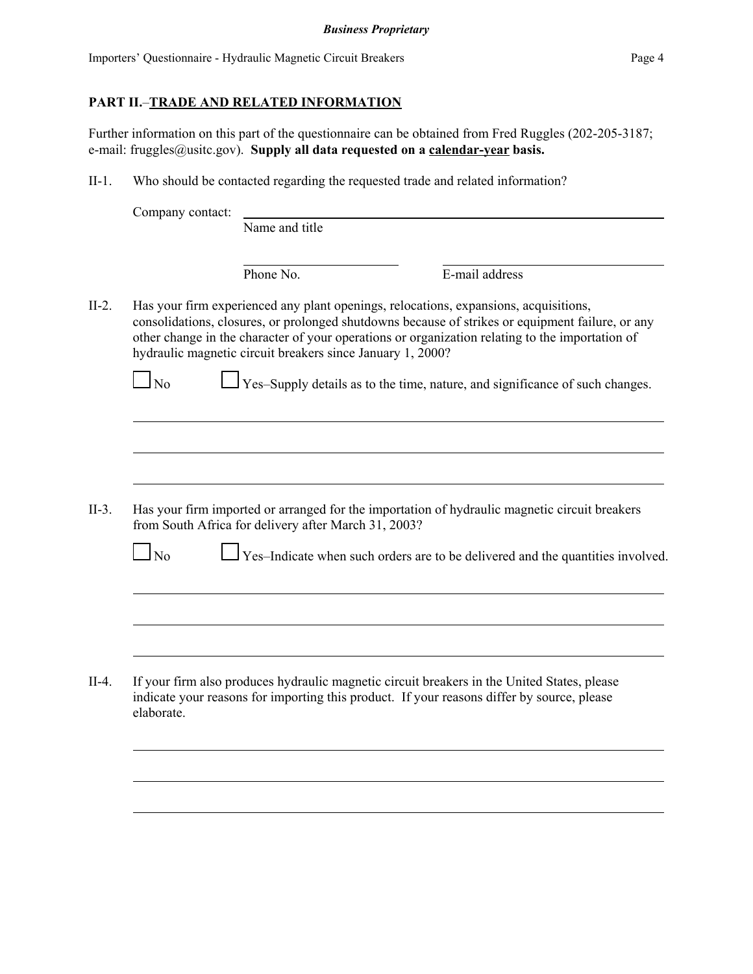# **PART II.**–**TRADE AND RELATED INFORMATION**

Further information on this part of the questionnaire can be obtained from Fred Ruggles (202-205-3187; e-mail: fruggles@usitc.gov). **Supply all data requested on a calendar-year basis.**

II-1. Who should be contacted regarding the requested trade and related information?

|         | Company contact: |                                                                                                                                                                                                                                                                                                                                                                                                                                           |                |  |
|---------|------------------|-------------------------------------------------------------------------------------------------------------------------------------------------------------------------------------------------------------------------------------------------------------------------------------------------------------------------------------------------------------------------------------------------------------------------------------------|----------------|--|
|         |                  | Name and title                                                                                                                                                                                                                                                                                                                                                                                                                            |                |  |
|         |                  | Phone No.                                                                                                                                                                                                                                                                                                                                                                                                                                 | E-mail address |  |
| $II-2.$ | N <sub>0</sub>   | Has your firm experienced any plant openings, relocations, expansions, acquisitions,<br>consolidations, closures, or prolonged shutdowns because of strikes or equipment failure, or any<br>other change in the character of your operations or organization relating to the importation of<br>hydraulic magnetic circuit breakers since January 1, 2000?<br>Yes-Supply details as to the time, nature, and significance of such changes. |                |  |
|         |                  |                                                                                                                                                                                                                                                                                                                                                                                                                                           |                |  |
| $II-3.$ | $\log$           | Has your firm imported or arranged for the importation of hydraulic magnetic circuit breakers<br>from South Africa for delivery after March 31, 2003?<br>Yes-Indicate when such orders are to be delivered and the quantities involved.                                                                                                                                                                                                   |                |  |
|         |                  |                                                                                                                                                                                                                                                                                                                                                                                                                                           |                |  |
| $II-4.$ | elaborate.       | If your firm also produces hydraulic magnetic circuit breakers in the United States, please<br>indicate your reasons for importing this product. If your reasons differ by source, please                                                                                                                                                                                                                                                 |                |  |
|         |                  |                                                                                                                                                                                                                                                                                                                                                                                                                                           |                |  |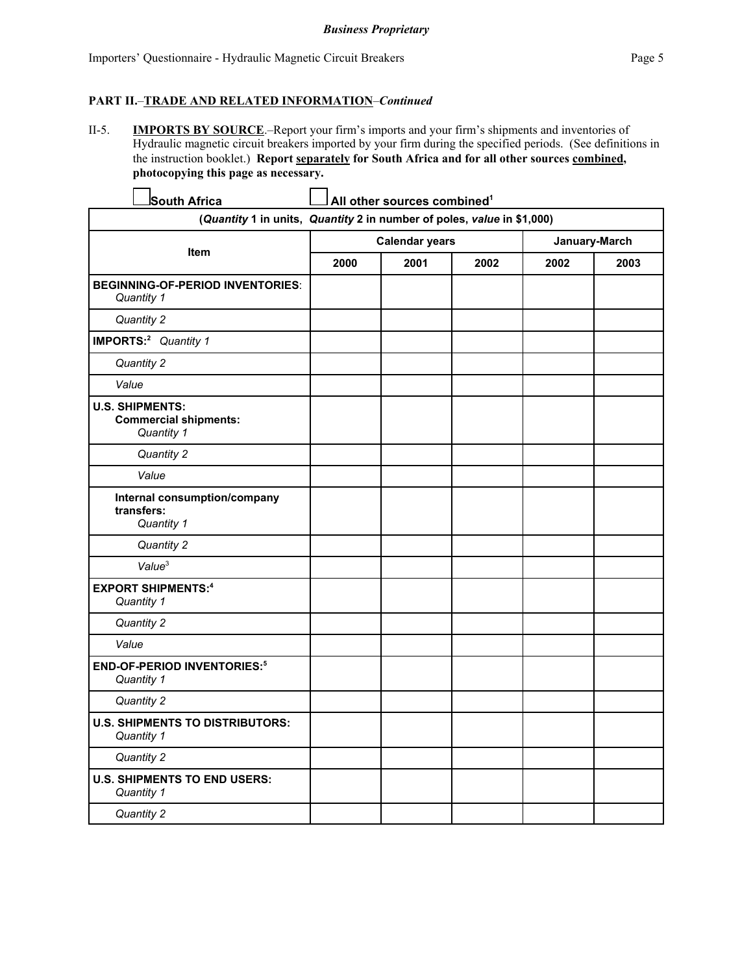#### **PART II.**–**TRADE AND RELATED INFORMATION**–*Continued*

II-5. **IMPORTS BY SOURCE**.–Report your firm's imports and your firm's shipments and inventories of Hydraulic magnetic circuit breakers imported by your firm during the specified periods. (See definitions in the instruction booklet.) **Report separately for South Africa and for all other sources combined, photocopying this page as necessary.**

| South Africa                                                           |                       | All other sources combined <sup>1</sup> |      |               |      |
|------------------------------------------------------------------------|-----------------------|-----------------------------------------|------|---------------|------|
| (Quantity 1 in units, Quantity 2 in number of poles, value in \$1,000) |                       |                                         |      |               |      |
|                                                                        | <b>Calendar years</b> |                                         |      | January-March |      |
| Item                                                                   | 2000                  | 2001                                    | 2002 | 2002          | 2003 |
| <b>BEGINNING-OF-PERIOD INVENTORIES:</b><br>Quantity 1                  |                       |                                         |      |               |      |
| Quantity 2                                                             |                       |                                         |      |               |      |
| IMPORTS: <sup>2</sup> Quantity 1                                       |                       |                                         |      |               |      |
| Quantity 2                                                             |                       |                                         |      |               |      |
| Value                                                                  |                       |                                         |      |               |      |
| <b>U.S. SHIPMENTS:</b><br><b>Commercial shipments:</b><br>Quantity 1   |                       |                                         |      |               |      |
| Quantity 2                                                             |                       |                                         |      |               |      |
| Value                                                                  |                       |                                         |      |               |      |
| Internal consumption/company<br>transfers:<br>Quantity 1               |                       |                                         |      |               |      |
| Quantity 2                                                             |                       |                                         |      |               |      |
| Value <sup>3</sup>                                                     |                       |                                         |      |               |      |
| <b>EXPORT SHIPMENTS:4</b><br>Quantity 1                                |                       |                                         |      |               |      |
| Quantity 2                                                             |                       |                                         |      |               |      |
| Value                                                                  |                       |                                         |      |               |      |
| <b>END-OF-PERIOD INVENTORIES:5</b><br>Quantity 1                       |                       |                                         |      |               |      |
| Quantity 2                                                             |                       |                                         |      |               |      |
| <b>U.S. SHIPMENTS TO DISTRIBUTORS:</b><br>Quantity 1                   |                       |                                         |      |               |      |
| Quantity 2                                                             |                       |                                         |      |               |      |
| <b>U.S. SHIPMENTS TO END USERS:</b><br>Quantity 1                      |                       |                                         |      |               |      |
| Quantity 2                                                             |                       |                                         |      |               |      |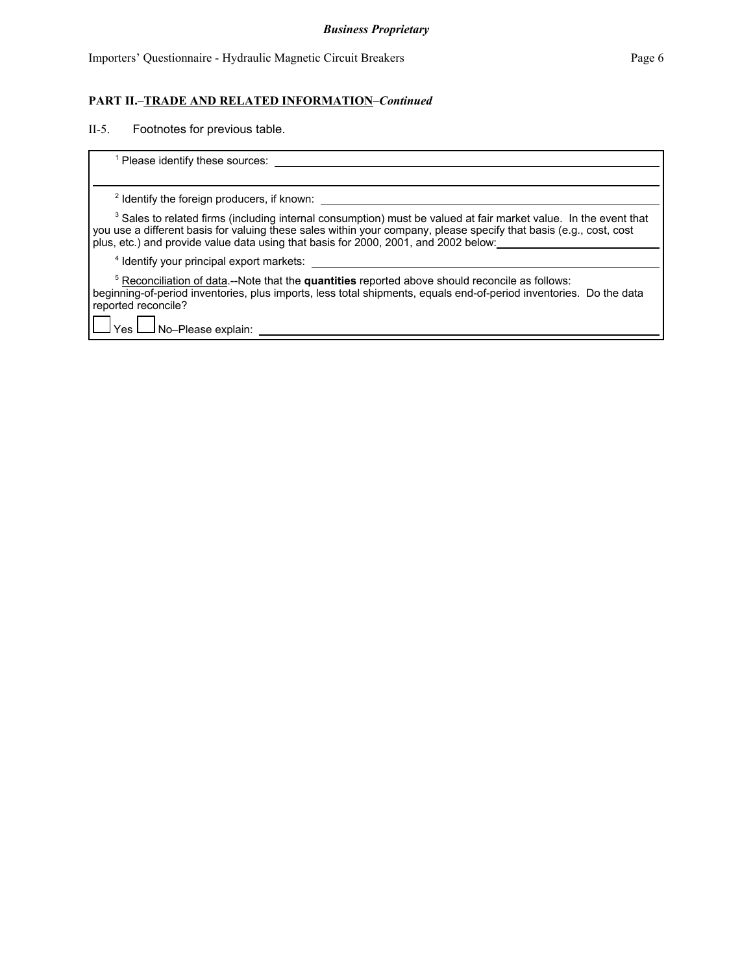## **PART II.**–**TRADE AND RELATED INFORMATION**–*Continued*

II-5. Footnotes for previous table.

| Please identify these sources:                                                                                                                                                                                                                                                                                                           |
|------------------------------------------------------------------------------------------------------------------------------------------------------------------------------------------------------------------------------------------------------------------------------------------------------------------------------------------|
| <sup>2</sup> Identify the foreign producers, if known:                                                                                                                                                                                                                                                                                   |
| <sup>3</sup> Sales to related firms (including internal consumption) must be valued at fair market value. In the event that<br>you use a different basis for valuing these sales within your company, please specify that basis (e.g., cost, cost<br>plus, etc.) and provide value data using that basis for 2000, 2001, and 2002 below: |
| <sup>4</sup> Identify your principal export markets:                                                                                                                                                                                                                                                                                     |
| <sup>5</sup> Reconciliation of data.--Note that the quantities reported above should reconcile as follows:<br>beginning-of-period inventories, plus imports, less total shipments, equals end-of-period inventories. Do the data<br>reported reconcile?                                                                                  |
| No-Please explain:<br>Yes                                                                                                                                                                                                                                                                                                                |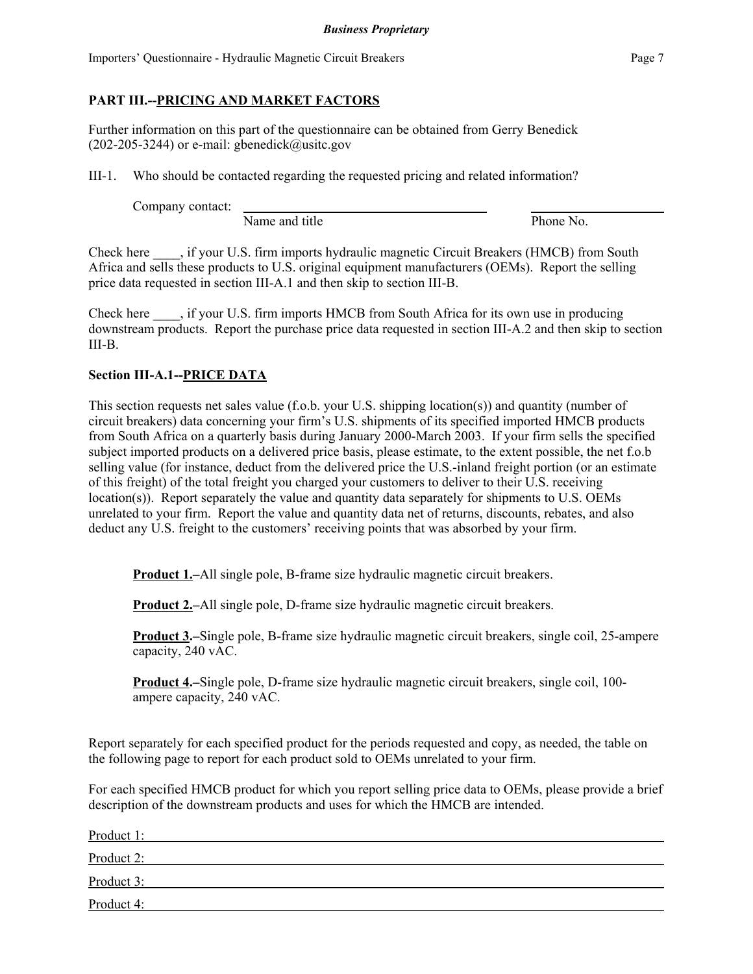Importers' Questionnaire - Hydraulic Magnetic Circuit Breakers Page 7

## **PART III.--PRICING AND MARKET FACTORS**

Further information on this part of the questionnaire can be obtained from Gerry Benedick  $(202-205-3244)$  or e-mail: gbenedick@usitc.gov

III-1. Who should be contacted regarding the requested pricing and related information?

Company contact:

Name and title Phone No.

Check here \_\_\_\_, if your U.S. firm imports hydraulic magnetic Circuit Breakers (HMCB) from South Africa and sells these products to U.S. original equipment manufacturers (OEMs). Report the selling price data requested in section III-A.1 and then skip to section III-B.

Check here \_\_\_\_, if your U.S. firm imports HMCB from South Africa for its own use in producing downstream products. Report the purchase price data requested in section III-A.2 and then skip to section III-B.

## **Section III-A.1--PRICE DATA**

This section requests net sales value (f.o.b. your U.S. shipping location(s)) and quantity (number of circuit breakers) data concerning your firm's U.S. shipments of its specified imported HMCB products from South Africa on a quarterly basis during January 2000-March 2003. If your firm sells the specified subject imported products on a delivered price basis, please estimate, to the extent possible, the net f.o.b selling value (for instance, deduct from the delivered price the U.S.-inland freight portion (or an estimate of this freight) of the total freight you charged your customers to deliver to their U.S. receiving location(s)). Report separately the value and quantity data separately for shipments to U.S. OEMs unrelated to your firm. Report the value and quantity data net of returns, discounts, rebates, and also deduct any U.S. freight to the customers' receiving points that was absorbed by your firm.

**Product 1.–All single pole, B-frame size hydraulic magnetic circuit breakers.** 

**Product 2.–**All single pole, D-frame size hydraulic magnetic circuit breakers.

**Product 3.–**Single pole, B-frame size hydraulic magnetic circuit breakers, single coil, 25-ampere capacity, 240 vAC.

**Product 4.–**Single pole, D-frame size hydraulic magnetic circuit breakers, single coil, 100 ampere capacity, 240 vAC.

Report separately for each specified product for the periods requested and copy, as needed, the table on the following page to report for each product sold to OEMs unrelated to your firm.

For each specified HMCB product for which you report selling price data to OEMs, please provide a brief description of the downstream products and uses for which the HMCB are intended.

| Product 1: |  |  |
|------------|--|--|
| Product 2: |  |  |
| Product 3: |  |  |
| Product 4: |  |  |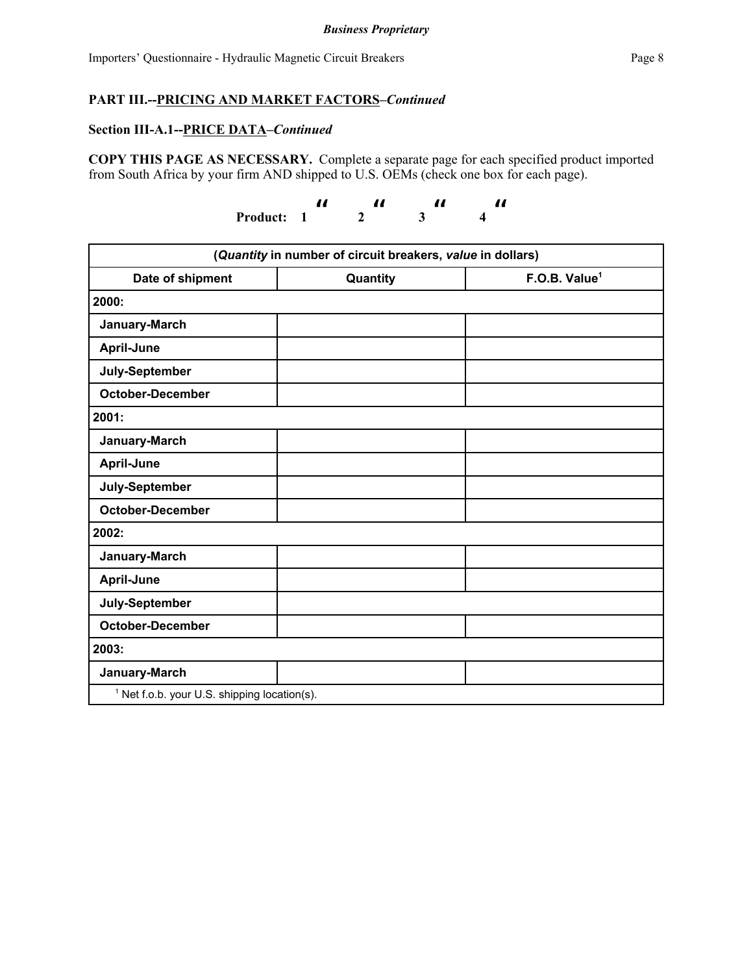#### *Business Proprietary*

#### **Section III-A.1--PRICE DATA***–Continued*

**COPY THIS PAGE AS NECESSARY.** Complete a separate page for each specified product imported from South Africa by your firm AND shipped to U.S. OEMs (check one box for each page).

> **Product: 1**   $\pmb{\mathit{ii}}$  **2**  "  $3^{\prime\prime}$  **4**   $\pmb{\mathit{ii}}$

| (Quantity in number of circuit breakers, value in dollars) |          |                           |  |  |
|------------------------------------------------------------|----------|---------------------------|--|--|
| Date of shipment                                           | Quantity | F.O.B. Value <sup>1</sup> |  |  |
| 2000:                                                      |          |                           |  |  |
| January-March                                              |          |                           |  |  |
| April-June                                                 |          |                           |  |  |
| July-September                                             |          |                           |  |  |
| <b>October-December</b>                                    |          |                           |  |  |
| 2001:                                                      |          |                           |  |  |
| January-March                                              |          |                           |  |  |
| April-June                                                 |          |                           |  |  |
| July-September                                             |          |                           |  |  |
| <b>October-December</b>                                    |          |                           |  |  |
| 2002:                                                      |          |                           |  |  |
| January-March                                              |          |                           |  |  |
| April-June                                                 |          |                           |  |  |
| July-September                                             |          |                           |  |  |
| <b>October-December</b>                                    |          |                           |  |  |
| 2003:                                                      |          |                           |  |  |
| January-March                                              |          |                           |  |  |
| <sup>1</sup> Net f.o.b. your U.S. shipping location(s).    |          |                           |  |  |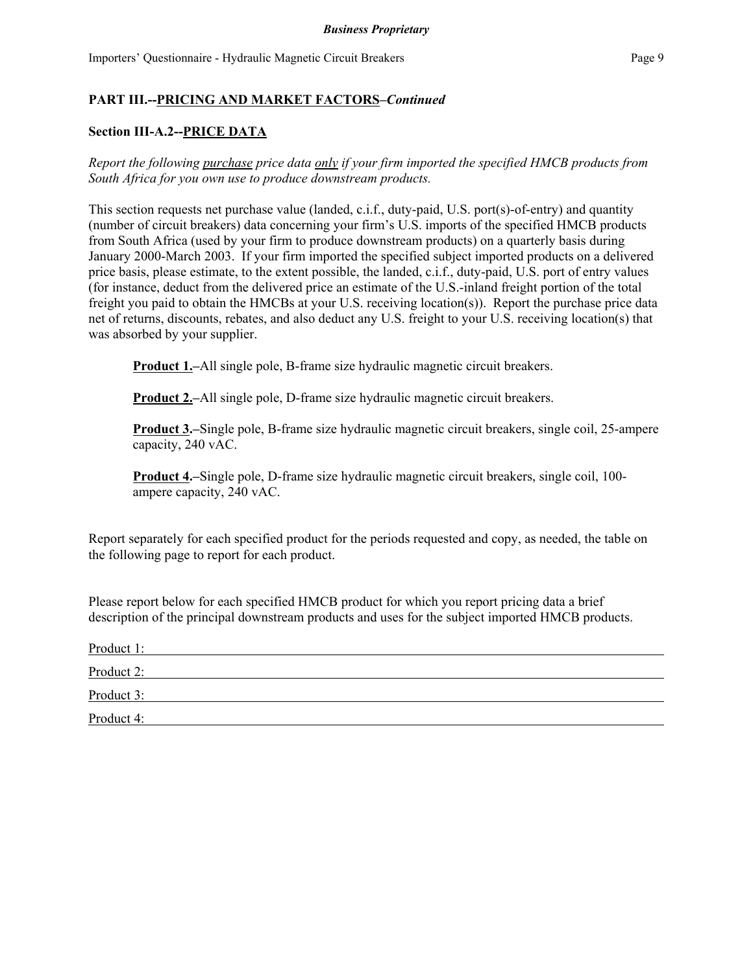## **Section III-A.2--PRICE DATA**

*Report the following purchase price data only if your firm imported the specified HMCB products from South Africa for you own use to produce downstream products.*

This section requests net purchase value (landed, c.i.f., duty-paid, U.S. port(s)-of-entry) and quantity (number of circuit breakers) data concerning your firm's U.S. imports of the specified HMCB products from South Africa (used by your firm to produce downstream products) on a quarterly basis during January 2000-March 2003. If your firm imported the specified subject imported products on a delivered price basis, please estimate, to the extent possible, the landed, c.i.f., duty-paid, U.S. port of entry values (for instance, deduct from the delivered price an estimate of the U.S.-inland freight portion of the total freight you paid to obtain the HMCBs at your U.S. receiving location(s)). Report the purchase price data net of returns, discounts, rebates, and also deduct any U.S. freight to your U.S. receiving location(s) that was absorbed by your supplier.

**Product 1.–**All single pole, B-frame size hydraulic magnetic circuit breakers.

**Product 2.–All single pole, D-frame size hydraulic magnetic circuit breakers.** 

**Product 3.–**Single pole, B-frame size hydraulic magnetic circuit breakers, single coil, 25-ampere capacity, 240 vAC.

**Product 4.–**Single pole, D-frame size hydraulic magnetic circuit breakers, single coil, 100 ampere capacity, 240 vAC.

Report separately for each specified product for the periods requested and copy, as needed, the table on the following page to report for each product.

Please report below for each specified HMCB product for which you report pricing data a brief description of the principal downstream products and uses for the subject imported HMCB products.

| Product 1: |  |  |
|------------|--|--|
| Product 2: |  |  |
| Product 3: |  |  |
| Product 4: |  |  |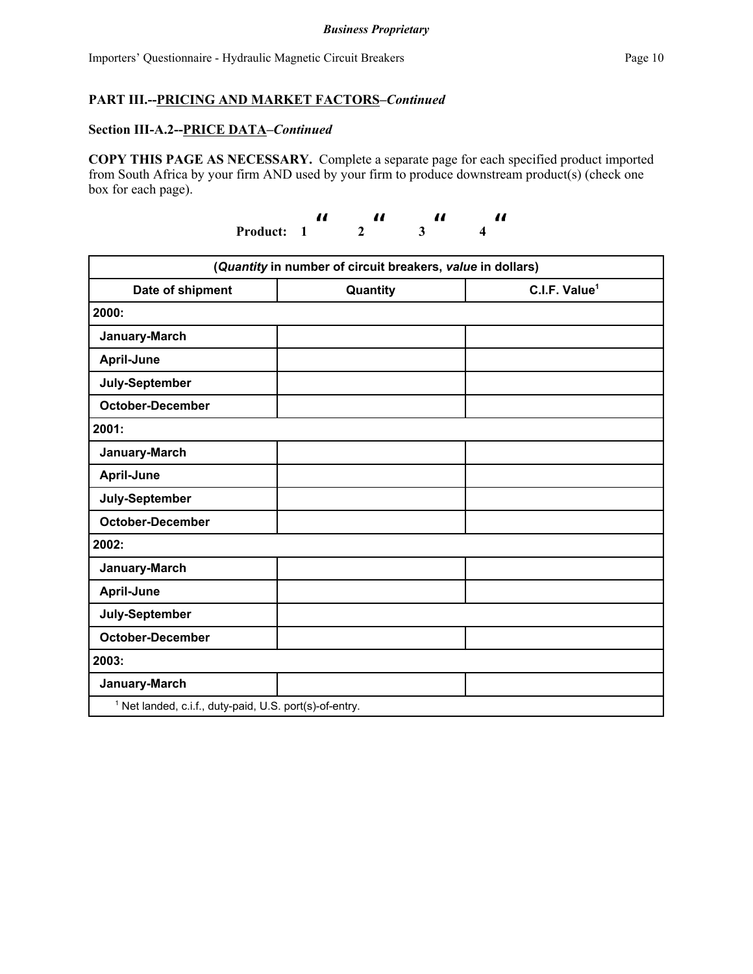#### **Section III-A.2--PRICE DATA***–Continued*

**COPY THIS PAGE AS NECESSARY.** Complete a separate page for each specified product imported from South Africa by your firm AND used by your firm to produce downstream product(s) (check one box for each page).

| Product: 1 |  |  |
|------------|--|--|

| (Quantity in number of circuit breakers, value in dollars)         |          |                           |  |  |
|--------------------------------------------------------------------|----------|---------------------------|--|--|
| Date of shipment                                                   | Quantity | C.I.F. Value <sup>1</sup> |  |  |
| 2000:                                                              |          |                           |  |  |
| January-March                                                      |          |                           |  |  |
| April-June                                                         |          |                           |  |  |
| July-September                                                     |          |                           |  |  |
| <b>October-December</b>                                            |          |                           |  |  |
| 2001:                                                              |          |                           |  |  |
| January-March                                                      |          |                           |  |  |
| April-June                                                         |          |                           |  |  |
| July-September                                                     |          |                           |  |  |
| <b>October-December</b>                                            |          |                           |  |  |
| 2002:                                                              |          |                           |  |  |
| January-March                                                      |          |                           |  |  |
| April-June                                                         |          |                           |  |  |
| July-September                                                     |          |                           |  |  |
| <b>October-December</b>                                            |          |                           |  |  |
| 2003:                                                              |          |                           |  |  |
| January-March                                                      |          |                           |  |  |
| <sup>1</sup> Net landed, c.i.f., duty-paid, U.S. port(s)-of-entry. |          |                           |  |  |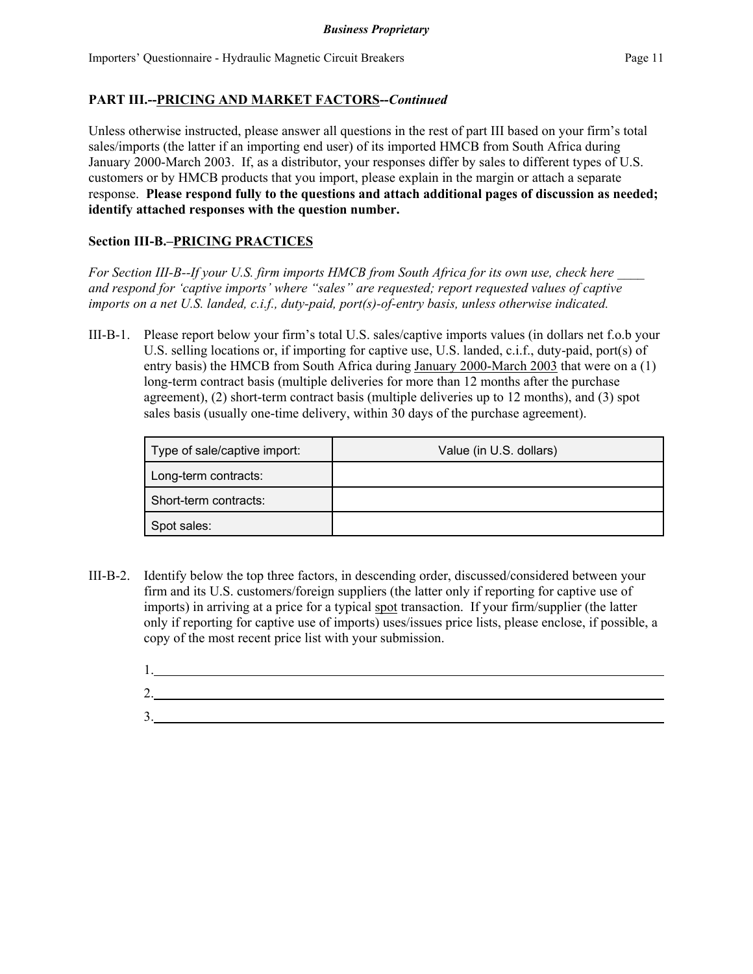Unless otherwise instructed, please answer all questions in the rest of part III based on your firm's total sales/imports (the latter if an importing end user) of its imported HMCB from South Africa during January 2000-March 2003. If, as a distributor, your responses differ by sales to different types of U.S. customers or by HMCB products that you import, please explain in the margin or attach a separate response. **Please respond fully to the questions and attach additional pages of discussion as needed; identify attached responses with the question number.**

## **Section III-B.–PRICING PRACTICES**

*For Section III-B--If your U.S. firm imports HMCB from South Africa for its own use, check here \_\_\_\_ and respond for 'captive imports' where "sales" are requested; report requested values of captive imports on a net U.S. landed, c.i.f., duty-paid, port(s)-of-entry basis, unless otherwise indicated.*

III-B-1. Please report below your firm's total U.S. sales/captive imports values (in dollars net f.o.b your U.S. selling locations or, if importing for captive use, U.S. landed, c.i.f., duty-paid, port(s) of entry basis) the HMCB from South Africa during January 2000-March 2003 that were on a (1) long-term contract basis (multiple deliveries for more than 12 months after the purchase agreement), (2) short-term contract basis (multiple deliveries up to 12 months), and (3) spot sales basis (usually one-time delivery, within 30 days of the purchase agreement).

| Type of sale/captive import: | Value (in U.S. dollars) |
|------------------------------|-------------------------|
| Long-term contracts:         |                         |
| Short-term contracts:        |                         |
| Spot sales:                  |                         |

III-B-2. Identify below the top three factors, in descending order, discussed/considered between your firm and its U.S. customers/foreign suppliers (the latter only if reporting for captive use of imports) in arriving at a price for a typical spot transaction. If your firm/supplier (the latter only if reporting for captive use of imports) uses/issues price lists, please enclose, if possible, a copy of the most recent price list with your submission.

| ⌒<br>۷, |  |  |
|---------|--|--|
| ◠<br>້. |  |  |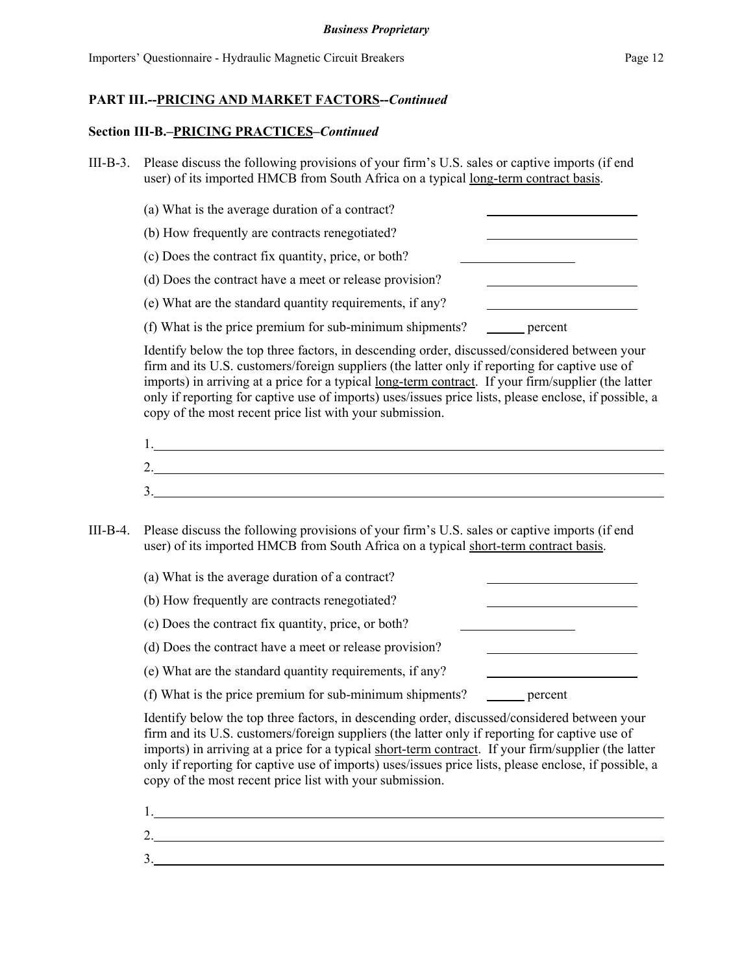#### **Section III-B.–PRICING PRACTICES–***Continued*

- III-B-3. Please discuss the following provisions of your firm's U.S. sales or captive imports (if end user) of its imported HMCB from South Africa on a typical long-term contract basis.
	- (a) What is the average duration of a contract? (b) How frequently are contracts renegotiated?
	- (c) Does the contract fix quantity, price, or both?
	- (d) Does the contract have a meet or release provision?
	- (e) What are the standard quantity requirements, if any?
	- (f) What is the price premium for sub-minimum shipments? percent

Identify below the top three factors, in descending order, discussed/considered between your firm and its U.S. customers/foreign suppliers (the latter only if reporting for captive use of imports) in arriving at a price for a typical long-term contract. If your firm/supplier (the latter only if reporting for captive use of imports) uses/issues price lists, please enclose, if possible, a copy of the most recent price list with your submission.

| .,       |  |  |
|----------|--|--|
| ⌒<br>ـ ـ |  |  |
| ິ.       |  |  |

III-B-4. Please discuss the following provisions of your firm's U.S. sales or captive imports (if end user) of its imported HMCB from South Africa on a typical short-term contract basis.

| (a) What is the average duration of a contract?          |         |
|----------------------------------------------------------|---------|
| (b) How frequently are contracts renegotiated?           |         |
| (c) Does the contract fix quantity, price, or both?      |         |
| (d) Does the contract have a meet or release provision?  |         |
| (e) What are the standard quantity requirements, if any? |         |
| (f) What is the price premium for sub-minimum shipments? | percent |

Identify below the top three factors, in descending order, discussed/considered between your firm and its U.S. customers/foreign suppliers (the latter only if reporting for captive use of imports) in arriving at a price for a typical short-term contract. If your firm/supplier (the latter only if reporting for captive use of imports) uses/issues price lists, please enclose, if possible, a copy of the most recent price list with your submission.

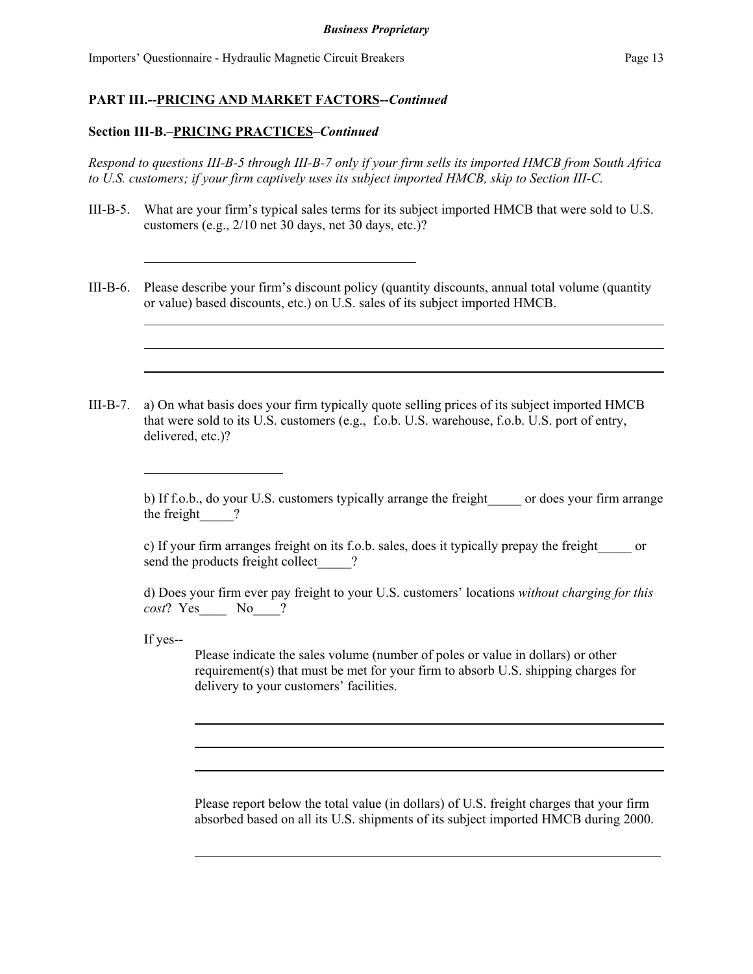#### **Section III-B.–PRICING PRACTICES–***Continued*

*Respond to questions III-B-5 through III-B-7 only if your firm sells its imported HMCB from South Africa to U.S. customers; if your firm captively uses its subject imported HMCB, skip to Section III-C.*

- III-B-5. What are your firm's typical sales terms for its subject imported HMCB that were sold to U.S. customers (e.g., 2/10 net 30 days, net 30 days, etc.)?
- III-B-6. Please describe your firm's discount policy (quantity discounts, annual total volume (quantity or value) based discounts, etc.) on U.S. sales of its subject imported HMCB.
- III-B-7. a) On what basis does your firm typically quote selling prices of its subject imported HMCB that were sold to its U.S. customers (e.g., f.o.b. U.S. warehouse, f.o.b. U.S. port of entry, delivered, etc.)?

c) If your firm arranges freight on its f.o.b. sales, does it typically prepay the freight\_\_\_\_\_ or send the products freight collect  $\qquad$  ?

d) Does your firm ever pay freight to your U.S. customers' locations *without charging for this cost*? Yes\_\_\_\_ No\_\_\_\_?

If yes--

Please indicate the sales volume (number of poles or value in dollars) or other requirement(s) that must be met for your firm to absorb U.S. shipping charges for delivery to your customers' facilities.

Please report below the total value (in dollars) of U.S. freight charges that your firm absorbed based on all its U.S. shipments of its subject imported HMCB during 2000.

b) If f.o.b., do your U.S. customers typically arrange the freight or does your firm arrange the freight ?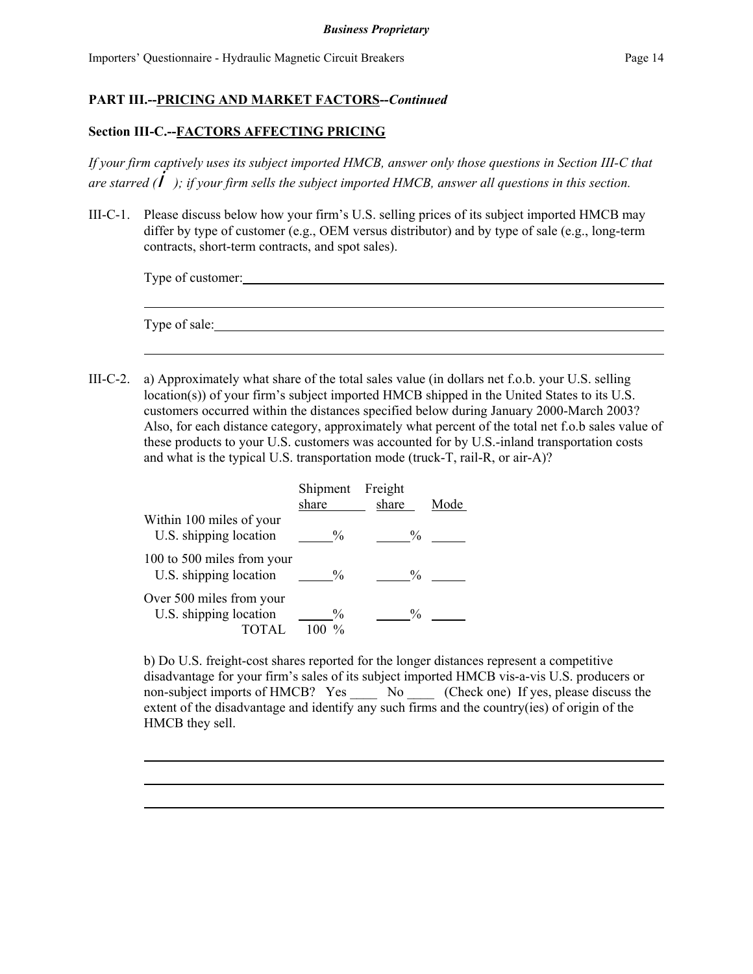#### **Section III-C.--FACTORS AFFECTING PRICING**

*If your firm captively uses its subject imported HMCB, answer only those questions in Section III-C that are starred (*i*); if your firm sells the subject imported HMCB, answer all questions in this section.*

III-C-1. Please discuss below how your firm's U.S. selling prices of its subject imported HMCB may differ by type of customer (e.g., OEM versus distributor) and by type of sale (e.g., long-term contracts, short-term contracts, and spot sales).

| Type of customer: |  |  |
|-------------------|--|--|
|                   |  |  |
|                   |  |  |
| Type of sale:     |  |  |

III-C-2. a) Approximately what share of the total sales value (in dollars net f.o.b. your U.S. selling location(s)) of your firm's subject imported HMCB shipped in the United States to its U.S. customers occurred within the distances specified below during January 2000-March 2003? Also, for each distance category, approximately what percent of the total net f.o.b sales value of these products to your U.S. customers was accounted for by U.S.-inland transportation costs and what is the typical U.S. transportation mode (truck-T, rail-R, or air-A)?

|                                                      | Shipment<br>share | Freight<br>share | Mode |
|------------------------------------------------------|-------------------|------------------|------|
| Within 100 miles of your<br>U.S. shipping location   | $\frac{0}{0}$     | $\frac{0}{0}$    |      |
| 100 to 500 miles from your<br>U.S. shipping location | $\frac{0}{0}$     | $\frac{0}{0}$    |      |
| Over 500 miles from your<br>U.S. shipping location   | $\frac{0}{0}$     | $\frac{0}{0}$    |      |

b) Do U.S. freight-cost shares reported for the longer distances represent a competitive disadvantage for your firm's sales of its subject imported HMCB vis-a-vis U.S. producers or non-subject imports of HMCB? Yes \_\_\_\_\_ No \_\_\_\_ (Check one) If yes, please discuss the extent of the disadvantage and identify any such firms and the country(ies) of origin of the HMCB they sell.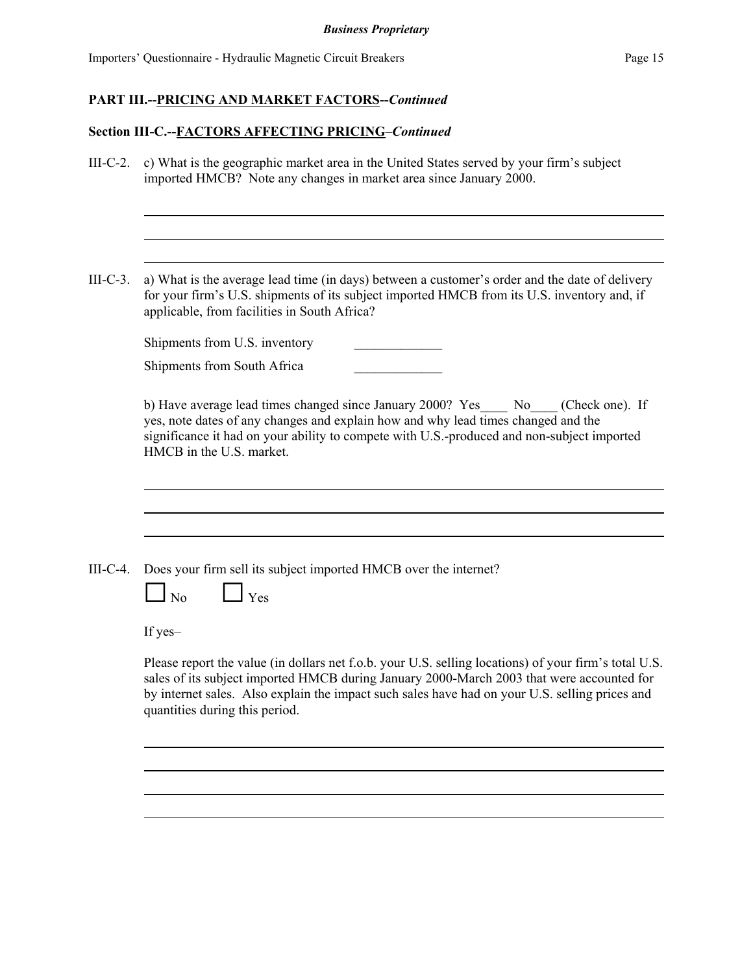# **Section III-C.--FACTORS AFFECTING PRICING–***Continued*

| $III-C-2.$ | c) What is the geographic market area in the United States served by your firm's subject<br>imported HMCB? Note any changes in market area since January 2000.                                                                                                                                                                         |  |  |  |  |
|------------|----------------------------------------------------------------------------------------------------------------------------------------------------------------------------------------------------------------------------------------------------------------------------------------------------------------------------------------|--|--|--|--|
|            |                                                                                                                                                                                                                                                                                                                                        |  |  |  |  |
| $III-C-3.$ | a) What is the average lead time (in days) between a customer's order and the date of delivery<br>for your firm's U.S. shipments of its subject imported HMCB from its U.S. inventory and, if<br>applicable, from facilities in South Africa?                                                                                          |  |  |  |  |
|            | Shipments from U.S. inventory                                                                                                                                                                                                                                                                                                          |  |  |  |  |
|            | Shipments from South Africa                                                                                                                                                                                                                                                                                                            |  |  |  |  |
|            | b) Have average lead times changed since January 2000? Yes<br>No<br>(Check one). If<br>yes, note dates of any changes and explain how and why lead times changed and the<br>significance it had on your ability to compete with U.S.-produced and non-subject imported<br>HMCB in the U.S. market.                                     |  |  |  |  |
|            |                                                                                                                                                                                                                                                                                                                                        |  |  |  |  |
| $III-C-4.$ | Does your firm sell its subject imported HMCB over the internet?<br>$\Box$ No<br>$\Box$ Yes                                                                                                                                                                                                                                            |  |  |  |  |
|            | If yes-                                                                                                                                                                                                                                                                                                                                |  |  |  |  |
|            | Please report the value (in dollars net f.o.b. your U.S. selling locations) of your firm's total U.S.<br>sales of its subject imported HMCB during January 2000-March 2003 that were accounted for<br>by internet sales. Also explain the impact such sales have had on your U.S. selling prices and<br>quantities during this period. |  |  |  |  |
|            |                                                                                                                                                                                                                                                                                                                                        |  |  |  |  |
|            |                                                                                                                                                                                                                                                                                                                                        |  |  |  |  |
|            |                                                                                                                                                                                                                                                                                                                                        |  |  |  |  |
|            |                                                                                                                                                                                                                                                                                                                                        |  |  |  |  |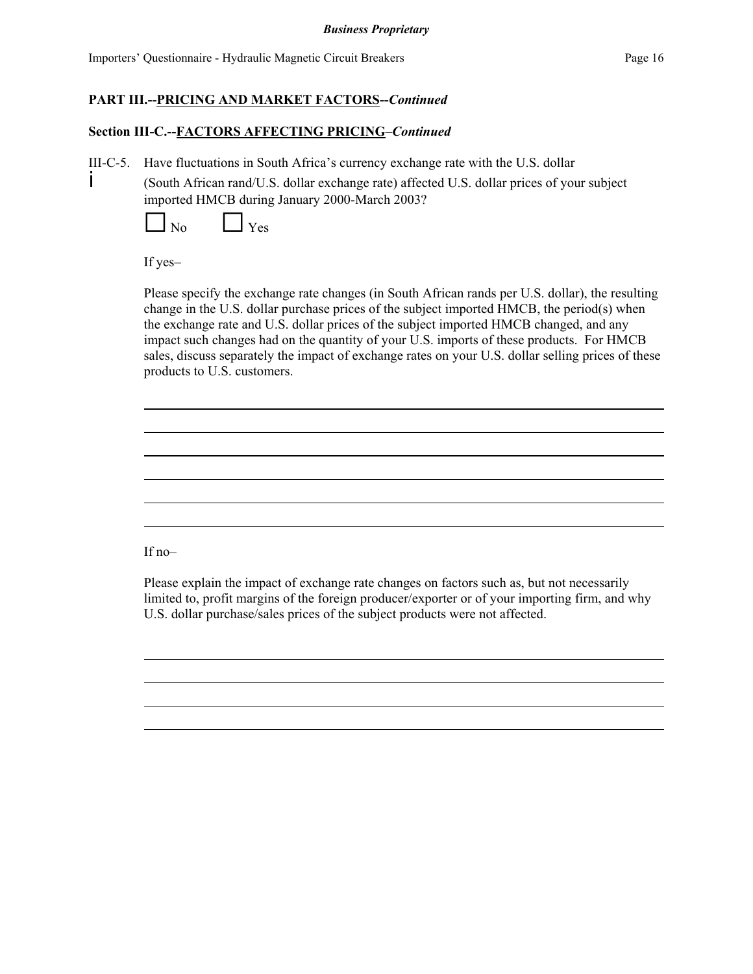## **Section III-C.--FACTORS AFFECTING PRICING–***Continued*

III-C-5. Have fluctuations in South Africa's currency exchange rate with the U.S. dollar

i (South African rand/U.S. dollar exchange rate) affected U.S. dollar prices of your subject imported HMCB during January 2000-March 2003?

 $\vert$  No  $\vert$   $\vert$  Yes

If yes–

Please specify the exchange rate changes (in South African rands per U.S. dollar), the resulting change in the U.S. dollar purchase prices of the subject imported HMCB, the period(s) when the exchange rate and U.S. dollar prices of the subject imported HMCB changed, and any impact such changes had on the quantity of your U.S. imports of these products. For HMCB sales, discuss separately the impact of exchange rates on your U.S. dollar selling prices of these products to U.S. customers.

If no–

Please explain the impact of exchange rate changes on factors such as, but not necessarily limited to, profit margins of the foreign producer/exporter or of your importing firm, and why U.S. dollar purchase/sales prices of the subject products were not affected.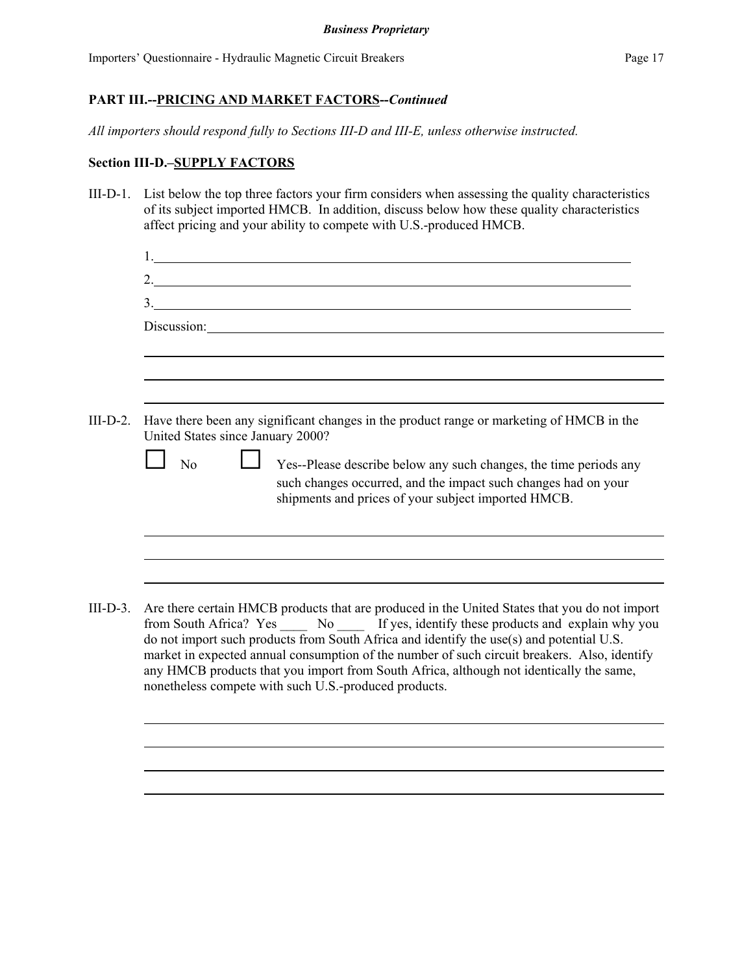*All importers should respond fully to Sections III-D and III-E, unless otherwise instructed.*

#### **Section III-D.–SUPPLY FACTORS**

III-D-1. List below the top three factors your firm considers when assessing the quality characteristics of its subject imported HMCB. In addition, discuss below how these quality characteristics affect pricing and your ability to compete with U.S.-produced HMCB.

|                                   | 2.<br>3.                                                                                                                                                                                                                                                                            |
|-----------------------------------|-------------------------------------------------------------------------------------------------------------------------------------------------------------------------------------------------------------------------------------------------------------------------------------|
|                                   | Discussion:                                                                                                                                                                                                                                                                         |
|                                   |                                                                                                                                                                                                                                                                                     |
| United States since January 2000? | Have there been any significant changes in the product range or marketing of HMCB in the                                                                                                                                                                                            |
| N <sub>o</sub>                    | Yes--Please describe below any such changes, the time periods any<br>such changes occurred, and the impact such changes had on your<br>shipments and prices of your subject imported HMCB.                                                                                          |
|                                   |                                                                                                                                                                                                                                                                                     |
|                                   |                                                                                                                                                                                                                                                                                     |
|                                   | Are there certain HMCB products that are produced in the United States that you do not import<br>from South Africa? Yes _______ No _______ If yes, identify these products and explain why you                                                                                      |
|                                   | do not import such products from South Africa and identify the use(s) and potential U.S.<br>market in expected annual consumption of the number of such circuit breakers. Also, identify<br>any HMCB products that you import from South Africa, although not identically the same, |

nonetheless compete with such U.S.-produced products.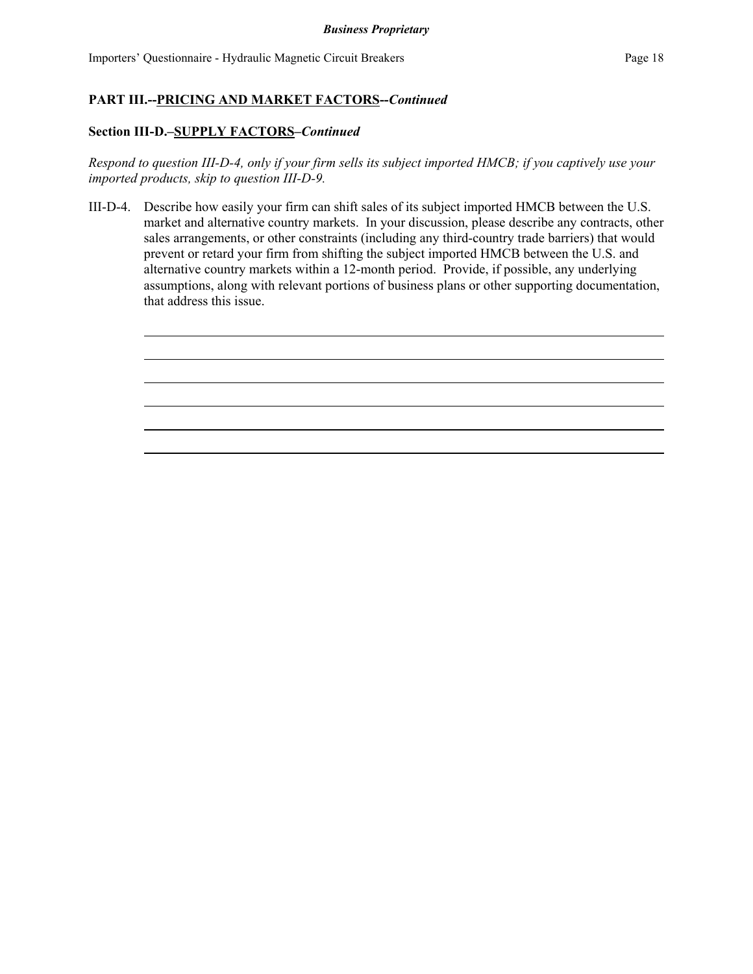## **Section III-D.–SUPPLY FACTORS–***Continued*

*Respond to question III-D-4, only if your firm sells its subject imported HMCB; if you captively use your imported products, skip to question III-D-9.*

III-D-4. Describe how easily your firm can shift sales of its subject imported HMCB between the U.S. market and alternative country markets. In your discussion, please describe any contracts, other sales arrangements, or other constraints (including any third-country trade barriers) that would prevent or retard your firm from shifting the subject imported HMCB between the U.S. and alternative country markets within a 12-month period. Provide, if possible, any underlying assumptions, along with relevant portions of business plans or other supporting documentation, that address this issue.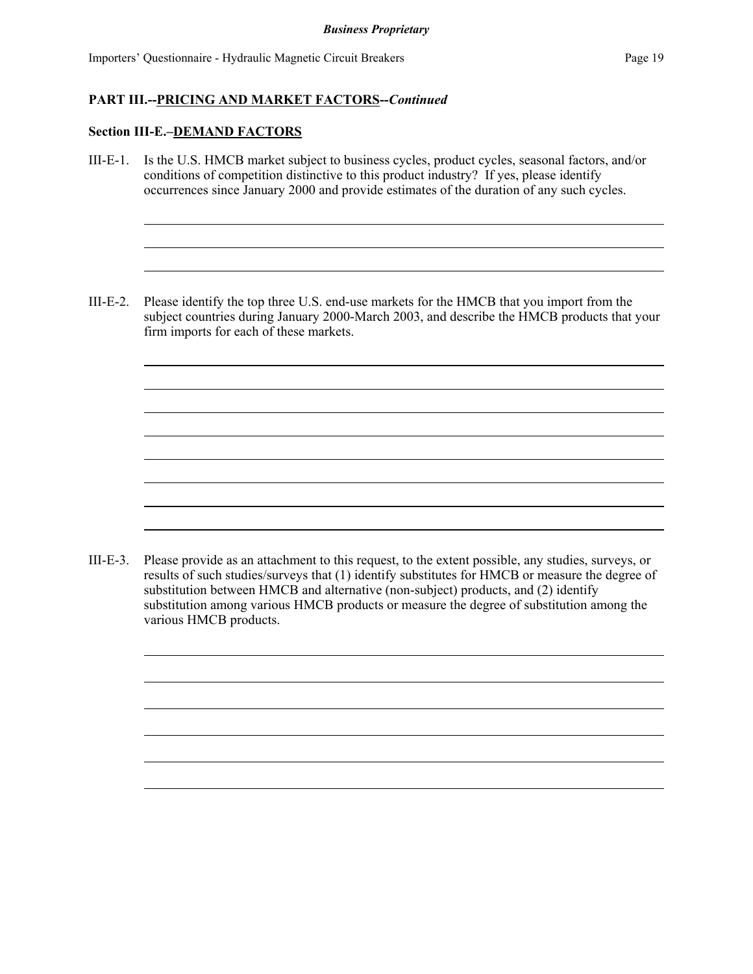## **Section III-E.–DEMAND FACTORS**

- III-E-1. Is the U.S. HMCB market subject to business cycles, product cycles, seasonal factors, and/or conditions of competition distinctive to this product industry? If yes, please identify occurrences since January 2000 and provide estimates of the duration of any such cycles.
- III-E-2. Please identify the top three U.S. end-use markets for the HMCB that you import from the subject countries during January 2000-March 2003, and describe the HMCB products that your firm imports for each of these markets.

III-E-3. Please provide as an attachment to this request, to the extent possible, any studies, surveys, or results of such studies/surveys that (1) identify substitutes for HMCB or measure the degree of substitution between HMCB and alternative (non-subject) products, and (2) identify substitution among various HMCB products or measure the degree of substitution among the various HMCB products.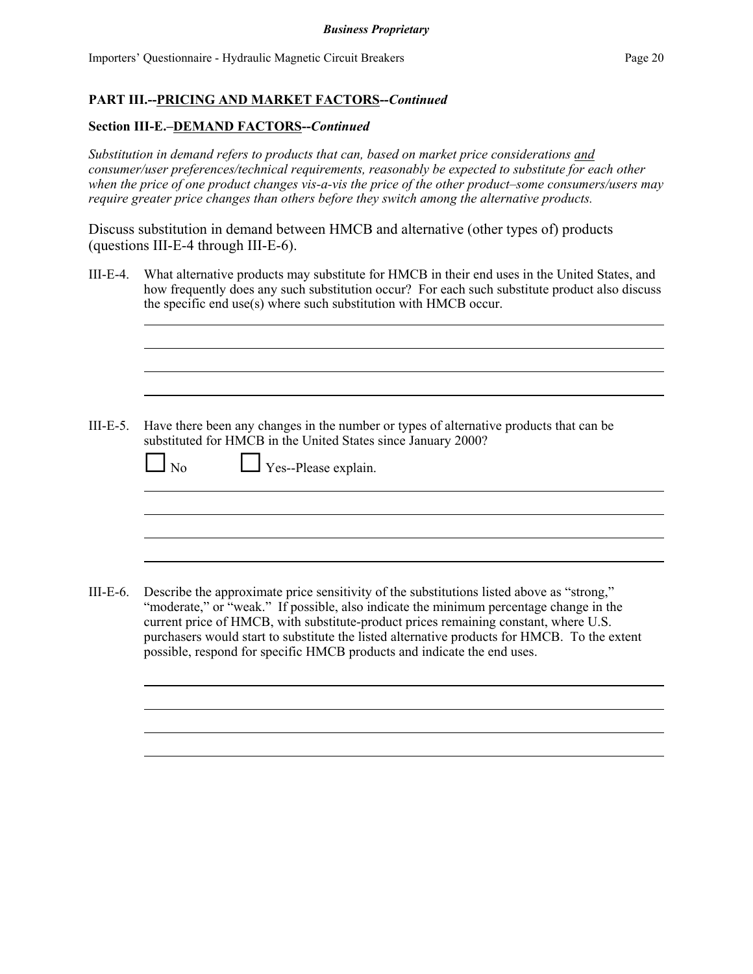#### **Section III-E.–DEMAND FACTORS--***Continued*

*Substitution in demand refers to products that can, based on market price considerations and consumer/user preferences/technical requirements, reasonably be expected to substitute for each other when the price of one product changes vis-a-vis the price of the other product–some consumers/users may require greater price changes than others before they switch among the alternative products.*

Discuss substitution in demand between HMCB and alternative (other types of) products (questions III-E-4 through III-E-6).

III-E-4. What alternative products may substitute for HMCB in their end uses in the United States, and how frequently does any such substitution occur? For each such substitute product also discuss the specific end use(s) where such substitution with HMCB occur.

III-E-5. Have there been any changes in the number or types of alternative products that can be substituted for HMCB in the United States since January 2000?

| $\Box$ No $\Box$ Yes--Please explain. |  |
|---------------------------------------|--|
|                                       |  |
|                                       |  |

III-E-6. Describe the approximate price sensitivity of the substitutions listed above as "strong," "moderate," or "weak." If possible, also indicate the minimum percentage change in the current price of HMCB, with substitute-product prices remaining constant, where U.S. purchasers would start to substitute the listed alternative products for HMCB. To the extent possible, respond for specific HMCB products and indicate the end uses.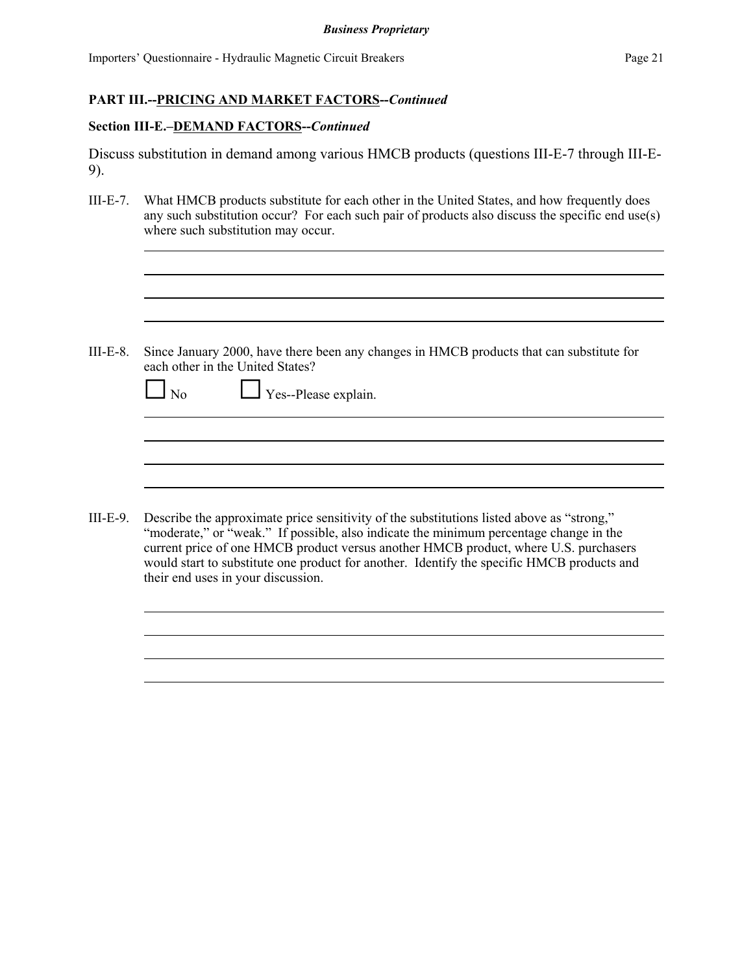#### **Section III-E.–DEMAND FACTORS--***Continued*

|  | Discuss substitution in demand among various HMCB products (questions III-E-7 through III-E- |  |  |  |  |  |
|--|----------------------------------------------------------------------------------------------|--|--|--|--|--|
|  |                                                                                              |  |  |  |  |  |

III-E-7. What HMCB products substitute for each other in the United States, and how frequently does any such substitution occur? For each such pair of products also discuss the specific end use(s) where such substitution may occur.

III-E-8. Since January 2000, have there been any changes in HMCB products that can substitute for each other in the United States?

| $\Box$ No | $\Box$ Yes--Please explain. |  |
|-----------|-----------------------------|--|
|           |                             |  |
|           |                             |  |

III-E-9. Describe the approximate price sensitivity of the substitutions listed above as "strong," "moderate," or "weak." If possible, also indicate the minimum percentage change in the current price of one HMCB product versus another HMCB product, where U.S. purchasers would start to substitute one product for another. Identify the specific HMCB products and their end uses in your discussion.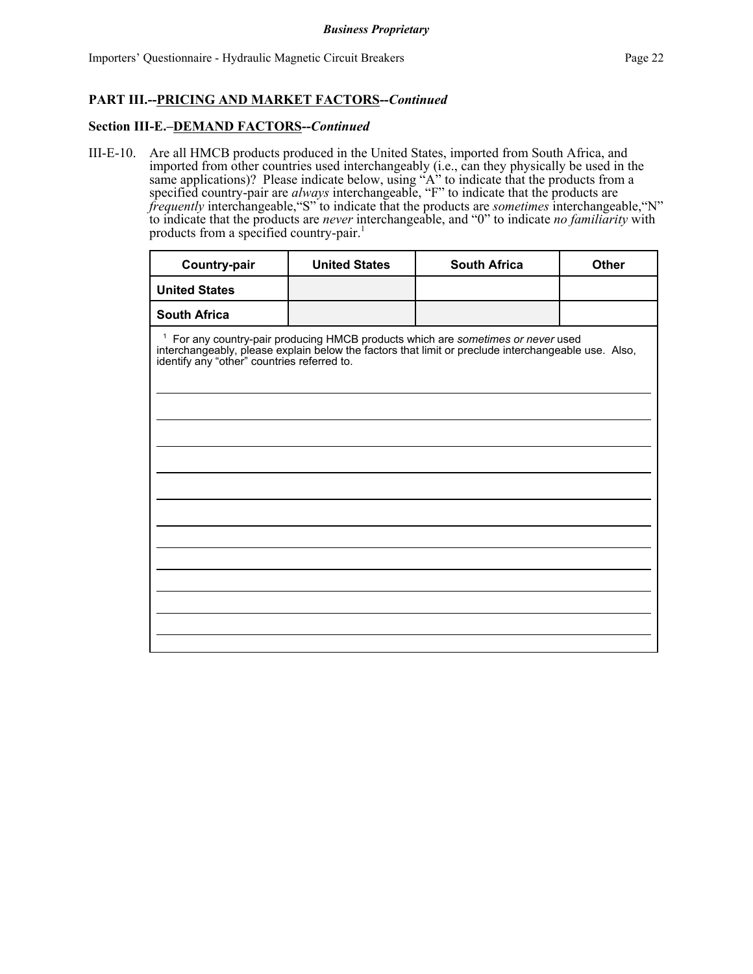#### **Section III-E.–DEMAND FACTORS--***Continued*

III-E-10. Are all HMCB products produced in the United States, imported from South Africa, and imported from other countries used interchangeably (i.e., can they physically be used in the same applications)? Please indicate below, using "A" to indicate that the products from a specified country-pair are *always* interchangeable, "F" to indicate that the products are *frequently* interchangeable,"S" to indicate that the products are *sometimes* interchangeable,"N" to indicate that the products are *never* interchangeable, and "0" to indicate *no familiarity* with products from a specified country-pair.<sup>1</sup>

| Country-pair         | <b>United States</b>                                                                                                                                                                                                                           | <b>South Africa</b> | Other |  |  |  |  |
|----------------------|------------------------------------------------------------------------------------------------------------------------------------------------------------------------------------------------------------------------------------------------|---------------------|-------|--|--|--|--|
| <b>United States</b> |                                                                                                                                                                                                                                                |                     |       |  |  |  |  |
| <b>South Africa</b>  |                                                                                                                                                                                                                                                |                     |       |  |  |  |  |
|                      | <sup>1</sup> For any country-pair producing HMCB products which are sometimes or never used<br>interchangeably, please explain below the factors that limit or preclude interchangeable use. Also, identify any "other" countries referred to. |                     |       |  |  |  |  |
|                      |                                                                                                                                                                                                                                                |                     |       |  |  |  |  |
|                      |                                                                                                                                                                                                                                                |                     |       |  |  |  |  |
|                      |                                                                                                                                                                                                                                                |                     |       |  |  |  |  |
|                      |                                                                                                                                                                                                                                                |                     |       |  |  |  |  |
|                      |                                                                                                                                                                                                                                                |                     |       |  |  |  |  |
|                      |                                                                                                                                                                                                                                                |                     |       |  |  |  |  |
|                      |                                                                                                                                                                                                                                                |                     |       |  |  |  |  |
|                      |                                                                                                                                                                                                                                                |                     |       |  |  |  |  |
|                      |                                                                                                                                                                                                                                                |                     |       |  |  |  |  |
|                      |                                                                                                                                                                                                                                                |                     |       |  |  |  |  |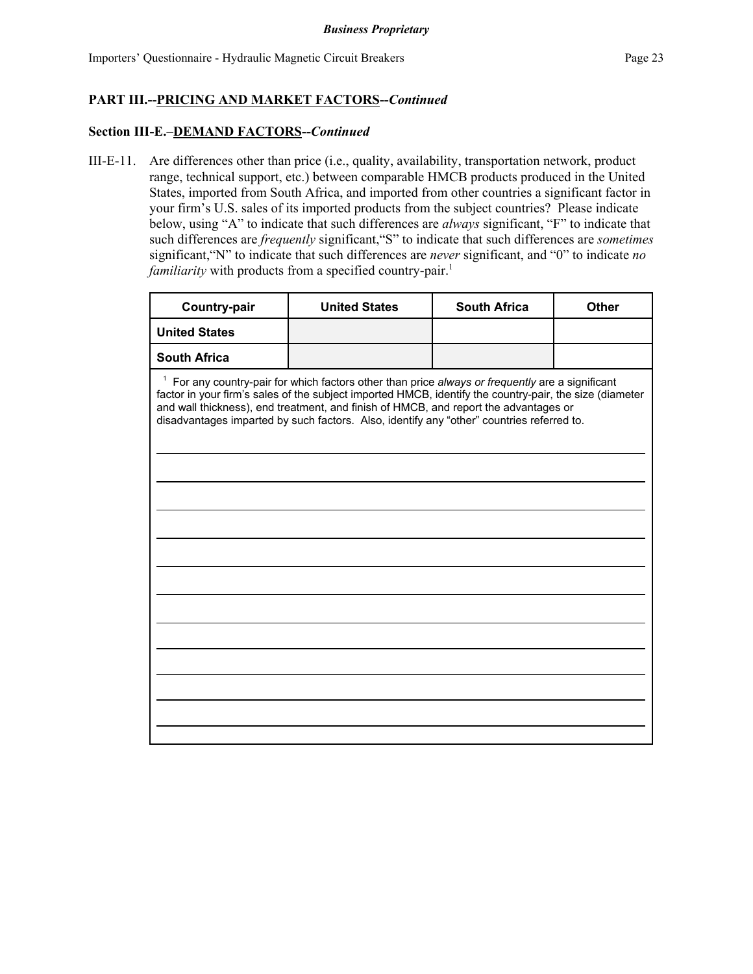#### **Section III-E.–DEMAND FACTORS--***Continued*

III-E-11. Are differences other than price (i.e., quality, availability, transportation network, product range, technical support, etc.) between comparable HMCB products produced in the United States, imported from South Africa, and imported from other countries a significant factor in your firm's U.S. sales of its imported products from the subject countries? Please indicate below, using "A" to indicate that such differences are *always* significant, "F" to indicate that such differences are *frequently* significant,"S" to indicate that such differences are *sometimes* significant,"N" to indicate that such differences are *never* significant, and "0" to indicate *no familiarity* with products from a specified country-pair.<sup>1</sup>

| Country-pair                                                                                                                                                                                                                                                                                                                                                                                       | <b>United States</b> | <b>South Africa</b> | Other |  |  |  |  |
|----------------------------------------------------------------------------------------------------------------------------------------------------------------------------------------------------------------------------------------------------------------------------------------------------------------------------------------------------------------------------------------------------|----------------------|---------------------|-------|--|--|--|--|
| <b>United States</b>                                                                                                                                                                                                                                                                                                                                                                               |                      |                     |       |  |  |  |  |
| <b>South Africa</b>                                                                                                                                                                                                                                                                                                                                                                                |                      |                     |       |  |  |  |  |
| $1$ For any country-pair for which factors other than price always or frequently are a significant<br>factor in your firm's sales of the subject imported HMCB, identify the country-pair, the size (diameter<br>and wall thickness), end treatment, and finish of HMCB, and report the advantages or<br>disadvantages imparted by such factors. Also, identify any "other" countries referred to. |                      |                     |       |  |  |  |  |
|                                                                                                                                                                                                                                                                                                                                                                                                    |                      |                     |       |  |  |  |  |
|                                                                                                                                                                                                                                                                                                                                                                                                    |                      |                     |       |  |  |  |  |
|                                                                                                                                                                                                                                                                                                                                                                                                    |                      |                     |       |  |  |  |  |
|                                                                                                                                                                                                                                                                                                                                                                                                    |                      |                     |       |  |  |  |  |
|                                                                                                                                                                                                                                                                                                                                                                                                    |                      |                     |       |  |  |  |  |
|                                                                                                                                                                                                                                                                                                                                                                                                    |                      |                     |       |  |  |  |  |
|                                                                                                                                                                                                                                                                                                                                                                                                    |                      |                     |       |  |  |  |  |
|                                                                                                                                                                                                                                                                                                                                                                                                    |                      |                     |       |  |  |  |  |
|                                                                                                                                                                                                                                                                                                                                                                                                    |                      |                     |       |  |  |  |  |
|                                                                                                                                                                                                                                                                                                                                                                                                    |                      |                     |       |  |  |  |  |
|                                                                                                                                                                                                                                                                                                                                                                                                    |                      |                     |       |  |  |  |  |